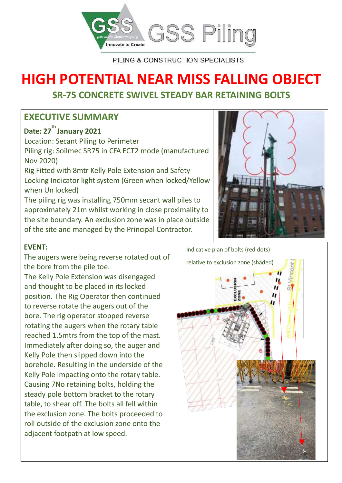

PILING & CONSTRUCTION SPECIALISTS

# **HIGH POTENTIAL NEAR MISS FALLING OBJECT**

# **SR-75 CONCRETE SWIVEL STEADY BAR RETAINING BOLTS**

## **EXECUTIVE SUMMARY**

# **Date: 27 th January 2021**

Location: Secant Piling to Perimeter Piling rig: Soilmec SR75 in CFA ECT2 mode (manufactured Nov 2020) Rig Fitted with 8mtr Kelly Pole Extension and Safety Locking Indicator light system (Green when locked/Yellow when Un locked) The piling rig was installing 750mm secant wall piles to

approximately 21m whilst working in close proximality to the site boundary. An exclusion zone was in place outside of the site and managed by the Principal Contractor.



#### **EVENT:**

The augers were being reverse rotated out of the bore from the pile toe.

The Kelly Pole Extension was disengaged and thought to be placed in its locked position. The Rig Operator then continued to reverse rotate the augers out of the bore. The rig operator stopped reverse rotating the augers when the rotary table reached 1.5mtrs from the top of the mast. Immediately after doing so, the auger and Kelly Pole then slipped down into the borehole. Resulting in the underside of the Kelly Pole impacting onto the rotary table. Causing 7No retaining bolts, holding the steady pole bottom bracket to the rotary table, to shear off. The bolts all fell within the exclusion zone. The bolts proceeded to roll outside of the exclusion zone onto the adjacent footpath at low speed.